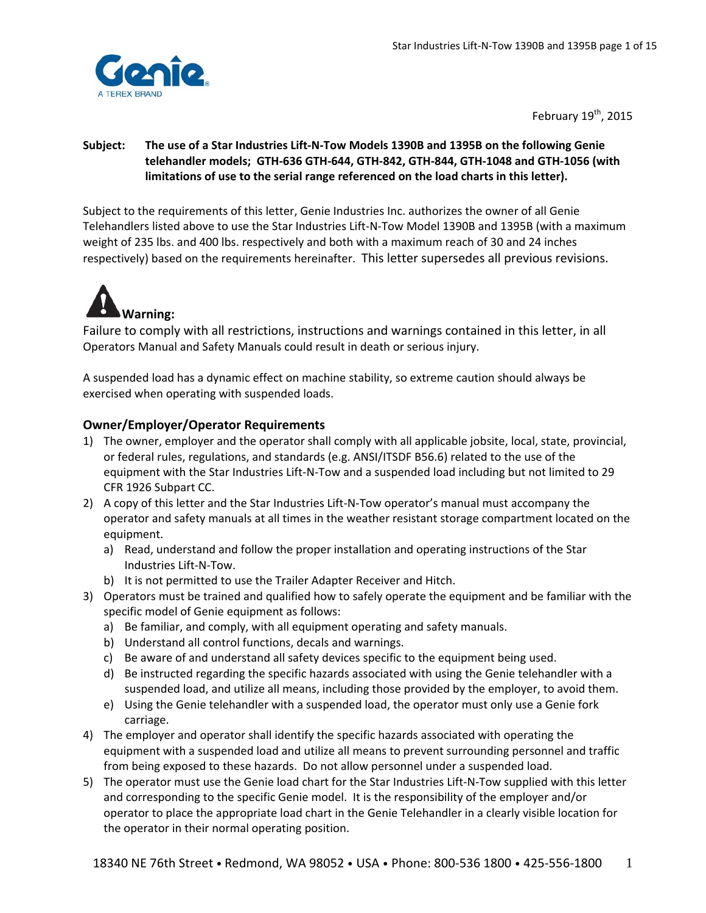

February  $19^{th}$ , 2015

## Subject: The use of a Star Industries Lift-N-Tow Models 1390B and 1395B on the following Genie telehandler models; GTH-636 GTH-644, GTH-842, GTH-844, GTH-1048 and GTH-1056 (with **limitations of use to the serial range referenced on the load charts in this letter).**

Subject to the requirements of this letter, Genie Industries Inc. authorizes the owner of all Genie Telehandlers listed above to use the Star Industries Lift‐N‐Tow Model 1390B and 1395B (with a maximum weight of 235 lbs. and 400 lbs. respectively and both with a maximum reach of 30 and 24 inches respectively) based on the requirements hereinafter. This letter supersedes all previous revisions.



Failure to comply with all restrictions, instructions and warnings contained in this letter, in all Operators Manual and Safety Manuals could result in death or serious injury.

A suspended load has a dynamic effect on machine stability, so extreme caution should always be exercised when operating with suspended loads.

# **Owner/Employer/Operator Requirements**

- 1) The owner, employer and the operator shall comply with all applicable jobsite, local, state, provincial, or federal rules, regulations, and standards (e.g. ANSI/ITSDF B56.6) related to the use of the equipment with the Star Industries Lift‐N‐Tow and a suspended load including but not limited to 29 CFR 1926 Subpart CC.
- 2) A copy of this letter and the Star Industries Lift-N-Tow operator's manual must accompany the operator and safety manuals at all times in the weather resistant storage compartment located on the equipment.
	- a) Read, understand and follow the proper installation and operating instructions of the Star Industries Lift‐N‐Tow.
	- b) It is not permitted to use the Trailer Adapter Receiver and Hitch.
- 3) Operators must be trained and qualified how to safely operate the equipment and be familiar with the specific model of Genie equipment as follows:
	- a) Be familiar, and comply, with all equipment operating and safety manuals.
	- b) Understand all control functions, decals and warnings.
	- c) Be aware of and understand all safety devices specific to the equipment being used.
	- d) Be instructed regarding the specific hazards associated with using the Genie telehandler with a suspended load, and utilize all means, including those provided by the employer, to avoid them.
	- e) Using the Genie telehandler with a suspended load, the operator must only use a Genie fork carriage.
- 4) The employer and operator shall identify the specific hazards associated with operating the equipment with a suspended load and utilize all means to prevent surrounding personnel and traffic from being exposed to these hazards. Do not allow personnel under a suspended load.
- 5) The operator must use the Genie load chart for the Star Industries Lift-N-Tow supplied with this letter and corresponding to the specific Genie model. It is the responsibility of the employer and/or operator to place the appropriate load chart in the Genie Telehandler in a clearly visible location for the operator in their normal operating position.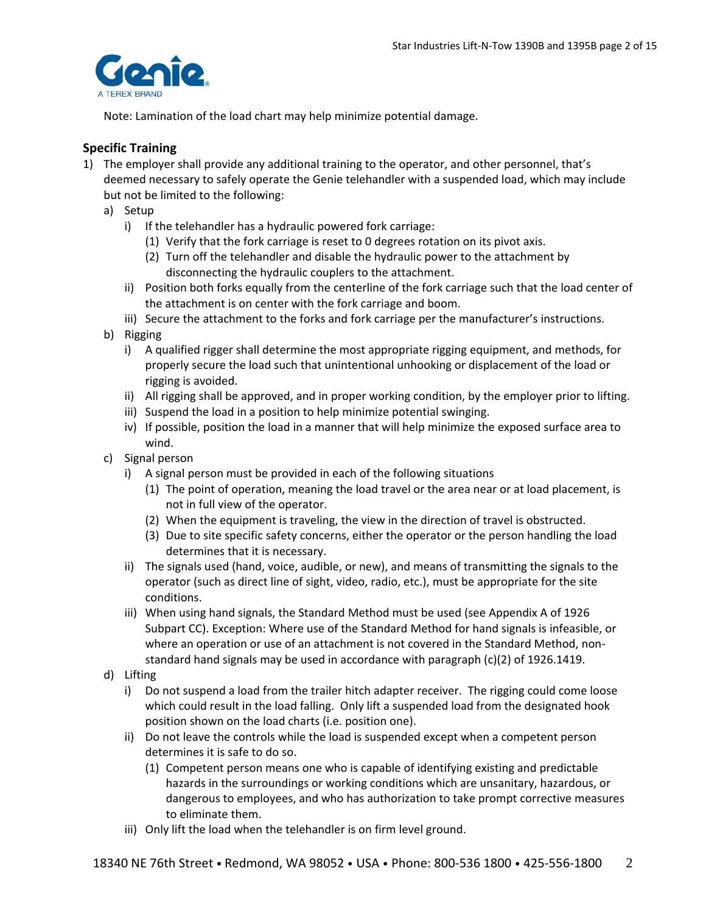

Note: Lamination of the load chart may help minimize potential damage.

# **Specific Training**

- 1) The employer shall provide any additional training to the operator, and other personnel, that's deemed necessary to safely operate the Genie telehandler with a suspended load, which may include but not be limited to the following:
	- a) Setup
		- i) If the telehandler has a hydraulic powered fork carriage:
			- (1) Verify that the fork carriage is reset to 0 degrees rotation on its pivot axis.
			- (2) Turn off the telehandler and disable the hydraulic power to the attachment by disconnecting the hydraulic couplers to the attachment.
		- ii) Position both forks equally from the centerline of the fork carriage such that the load center of the attachment is on center with the fork carriage and boom.
		- iii) Secure the attachment to the forks and fork carriage per the manufacturer's instructions.
	- b) Rigging
		- i) A qualified rigger shall determine the most appropriate rigging equipment, and methods, for properly secure the load such that unintentional unhooking or displacement of the load or rigging is avoided.
		- ii) All rigging shall be approved, and in proper working condition, by the employer prior to lifting.
		- iii) Suspend the load in a position to help minimize potential swinging.
		- iv) If possible, position the load in a manner that will help minimize the exposed surface area to wind.
	- c) Signal person
		- i) A signal person must be provided in each of the following situations
			- (1) The point of operation, meaning the load travel or the area near or at load placement, is not in full view of the operator.
			- (2) When the equipment is traveling, the view in the direction of travel is obstructed.
			- (3) Due to site specific safety concerns, either the operator or the person handling the load determines that it is necessary.
		- ii) The signals used (hand, voice, audible, or new), and means of transmitting the signals to the operator (such as direct line of sight, video, radio, etc.), must be appropriate for the site conditions.
		- iii) When using hand signals, the Standard Method must be used (see Appendix A of 1926 Subpart CC). Exception: Where use of the Standard Method for hand signals is infeasible, or where an operation or use of an attachment is not covered in the Standard Method, nonstandard hand signals may be used in accordance with paragraph (c)(2) of 1926.1419.
	- d) Lifting
		- i) Do not suspend a load from the trailer hitch adapter receiver. The rigging could come loose which could result in the load falling. Only lift a suspended load from the designated hook position shown on the load charts (i.e. position one).
		- ii) Do not leave the controls while the load is suspended except when a competent person determines it is safe to do so.
			- (1) Competent person means one who is capable of identifying existing and predictable hazards in the surroundings or working conditions which are unsanitary, hazardous, or dangerous to employees, and who has authorization to take prompt corrective measures to eliminate them.
		- iii) Only lift the load when the telehandler is on firm level ground.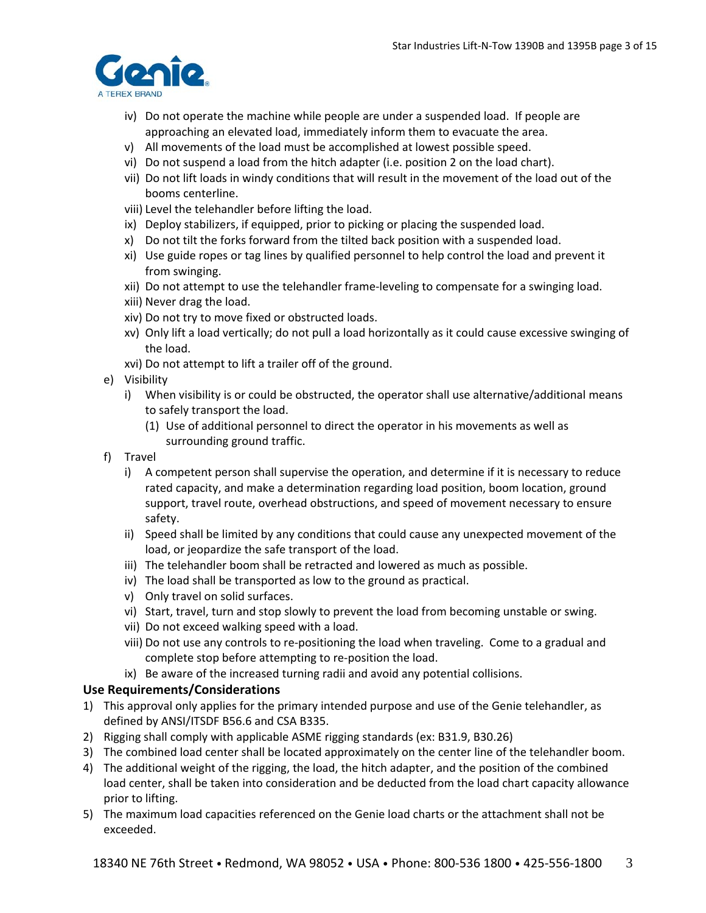

- iv) Do not operate the machine while people are under a suspended load. If people are approaching an elevated load, immediately inform them to evacuate the area.
- v) All movements of the load must be accomplished at lowest possible speed.
- vi) Do not suspend a load from the hitch adapter (i.e. position 2 on the load chart).
- vii) Do not lift loads in windy conditions that will result in the movement of the load out of the booms centerline.
- viii) Level the telehandler before lifting the load.
- ix) Deploy stabilizers, if equipped, prior to picking or placing the suspended load.
- x) Do not tilt the forks forward from the tilted back position with a suspended load.
- xi) Use guide ropes or tag lines by qualified personnel to help control the load and prevent it from swinging.
- xii) Do not attempt to use the telehandler frame‐leveling to compensate for a swinging load.
- xiii) Never drag the load.
- xiv) Do not try to move fixed or obstructed loads.
- xv) Only lift a load vertically; do not pull a load horizontally as it could cause excessive swinging of the load.
- xvi) Do not attempt to lift a trailer off of the ground.
- e) Visibility
	- i) When visibility is or could be obstructed, the operator shall use alternative/additional means to safely transport the load.
		- (1) Use of additional personnel to direct the operator in his movements as well as surrounding ground traffic.
- f) Travel
	- i) A competent person shall supervise the operation, and determine if it is necessary to reduce rated capacity, and make a determination regarding load position, boom location, ground support, travel route, overhead obstructions, and speed of movement necessary to ensure safety.
	- ii) Speed shall be limited by any conditions that could cause any unexpected movement of the load, or jeopardize the safe transport of the load.
	- iii) The telehandler boom shall be retracted and lowered as much as possible.
	- iv) The load shall be transported as low to the ground as practical.
	- v) Only travel on solid surfaces.
	- vi) Start, travel, turn and stop slowly to prevent the load from becoming unstable or swing.
	- vii) Do not exceed walking speed with a load.
	- viii) Do not use any controls to re‐positioning the load when traveling. Come to a gradual and complete stop before attempting to re‐position the load.
	- ix) Be aware of the increased turning radii and avoid any potential collisions.

## **Use Requirements/Considerations**

- 1) This approval only applies for the primary intended purpose and use of the Genie telehandler, as defined by ANSI/ITSDF B56.6 and CSA B335.
- 2) Rigging shall comply with applicable ASME rigging standards (ex: B31.9, B30.26)
- 3) The combined load center shall be located approximately on the center line of the telehandler boom.
- 4) The additional weight of the rigging, the load, the hitch adapter, and the position of the combined load center, shall be taken into consideration and be deducted from the load chart capacity allowance prior to lifting.
- 5) The maximum load capacities referenced on the Genie load charts or the attachment shall not be exceeded.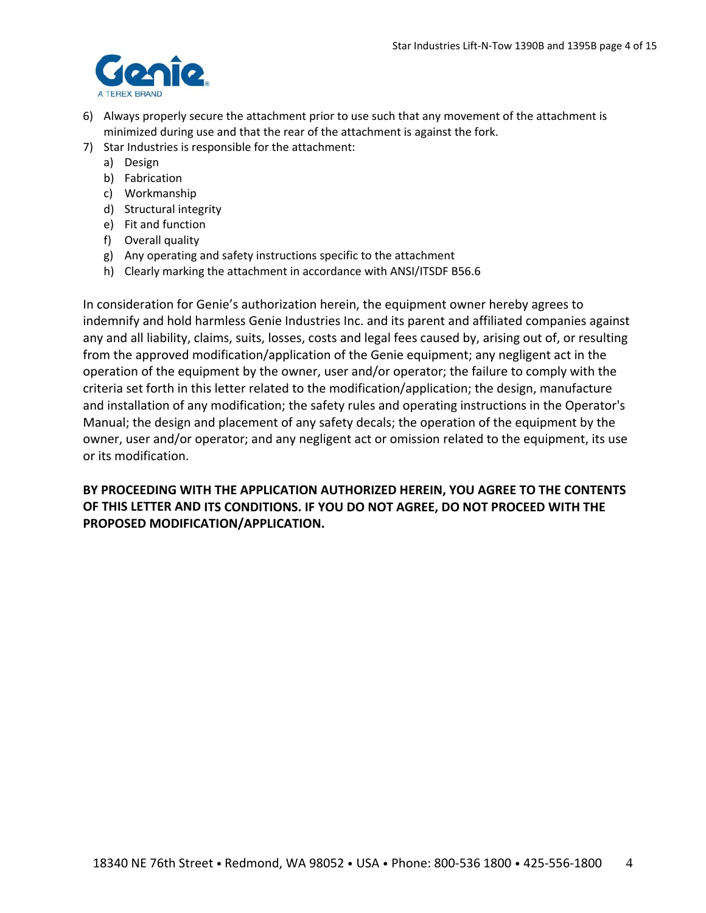

- 6) Always properly secure the attachment prior to use such that any movement of the attachment is minimized during use and that the rear of the attachment is against the fork.
- 7) Star Industries is responsible for the attachment:
	- a) Design
	- b) Fabrication
	- c) Workmanship
	- d) Structural integrity
	- e) Fit and function
	- f) Overall quality
	- g) Any operating and safety instructions specific to the attachment
	- h) Clearly marking the attachment in accordance with ANSI/ITSDF B56.6

In consideration for Genie's authorization herein, the equipment owner hereby agrees to indemnify and hold harmless Genie Industries Inc. and its parent and affiliated companies against any and all liability, claims, suits, losses, costs and legal fees caused by, arising out of, or resulting from the approved modification/application of the Genie equipment; any negligent act in the operation of the equipment by the owner, user and/or operator; the failure to comply with the criteria set forth in this letter related to the modification/application; the design, manufacture and installation of any modification; the safety rules and operating instructions in the Operator's Manual; the design and placement of any safety decals; the operation of the equipment by the owner, user and/or operator; and any negligent act or omission related to the equipment, its use or its modification.

# **BY PROCEEDING WITH THE APPLICATION AUTHORIZED HEREIN, YOU AGREE TO THE CONTENTS OF THIS LETTER AND ITS CONDITIONS. IF YOU DO NOT AGREE, DO NOT PROCEED WITH THE PROPOSED MODIFICATION/APPLICATION.**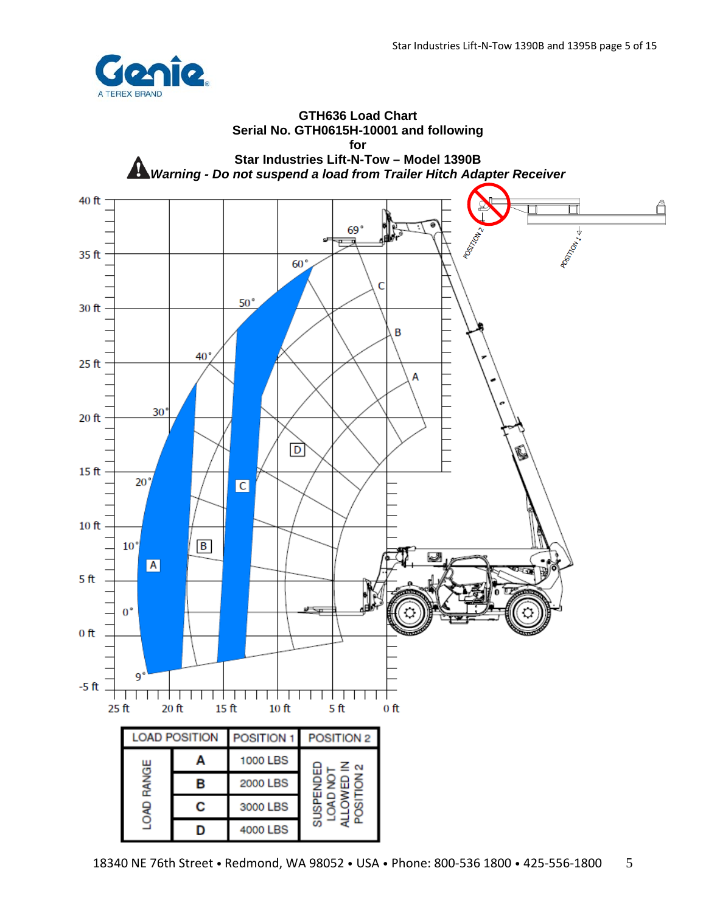

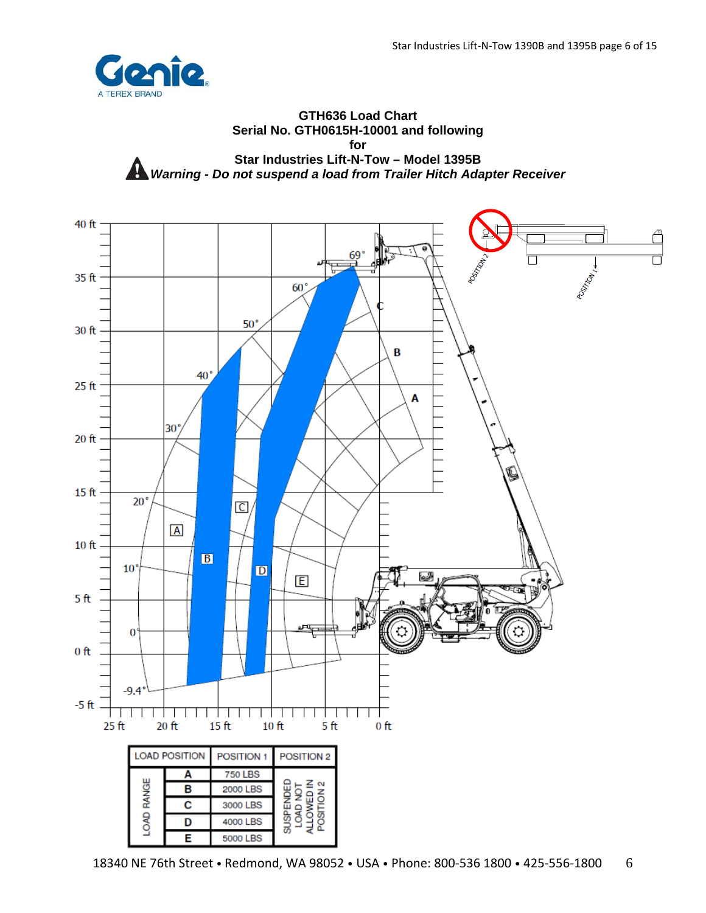

#### **GTH636 Load Chart Serial No. GTH0615H-10001 and following for Star Industries Lift-N-Tow – Model 1395B** *Warning - Do not suspend a load from Trailer Hitch Adapter Receiver*

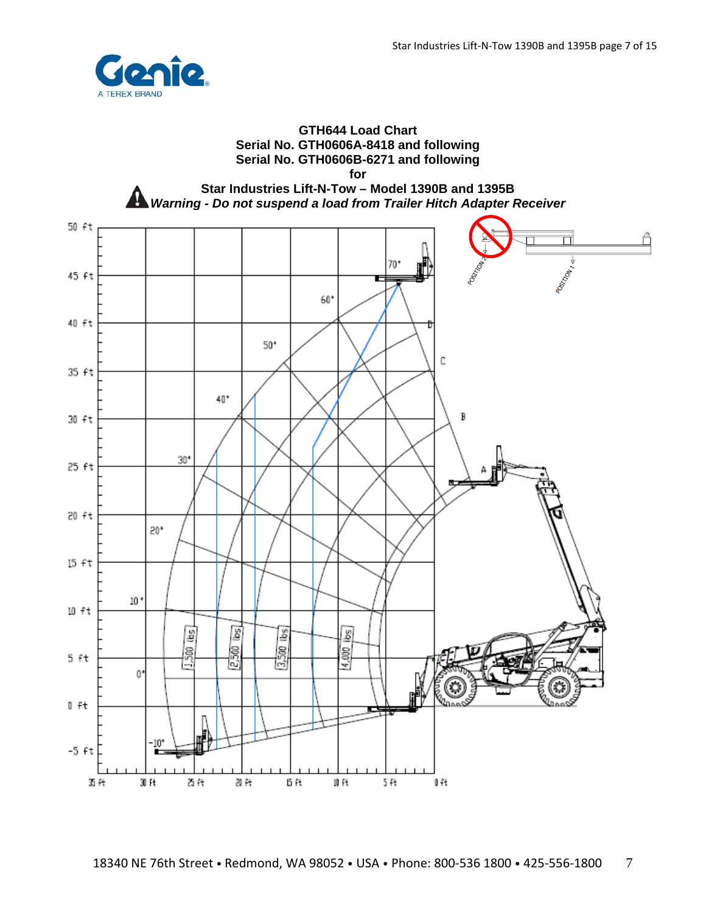

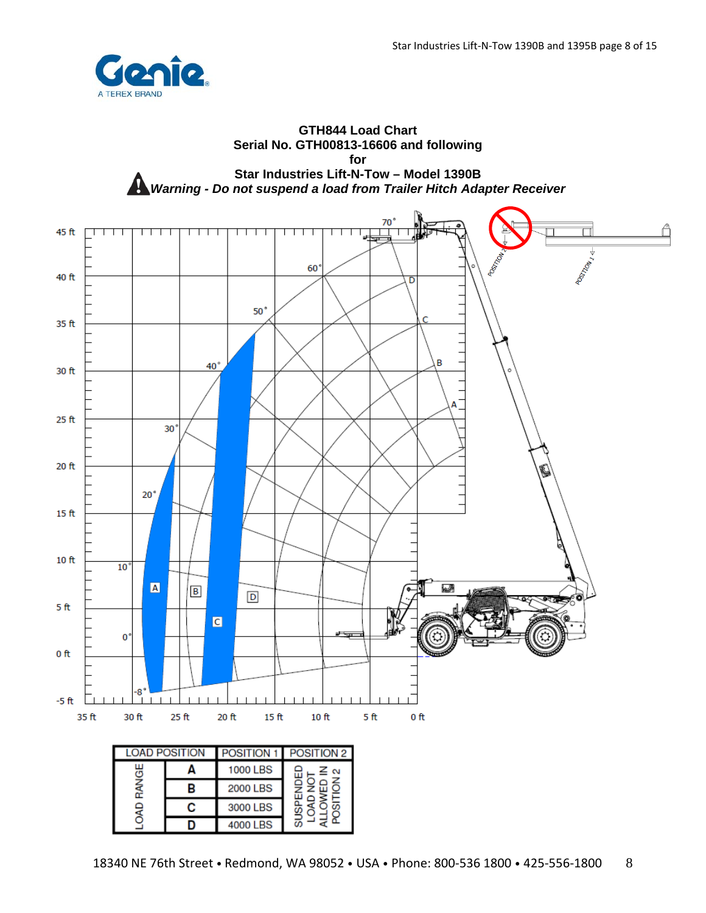

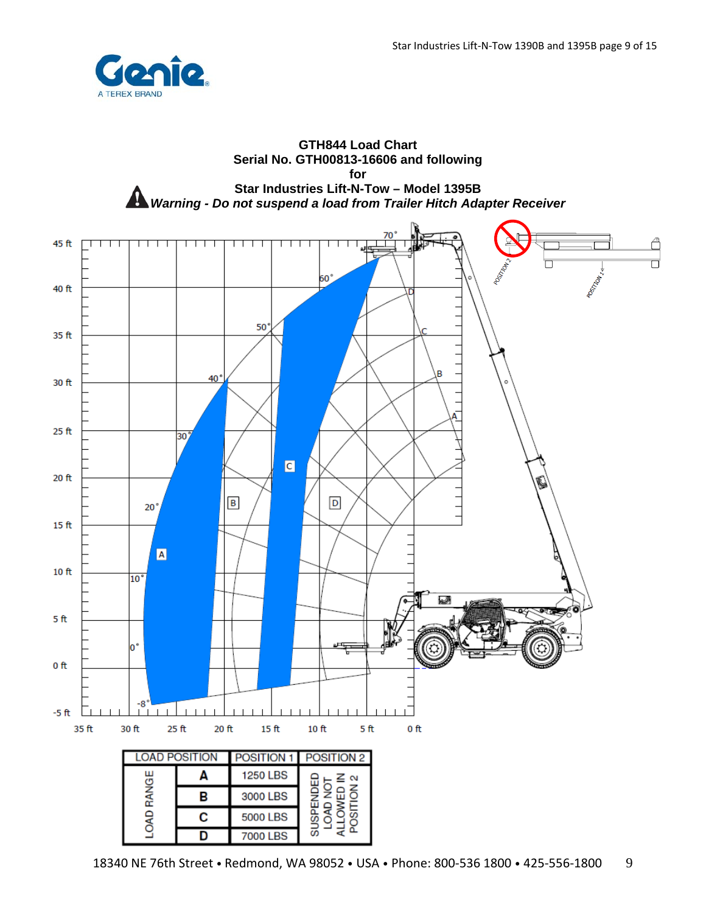

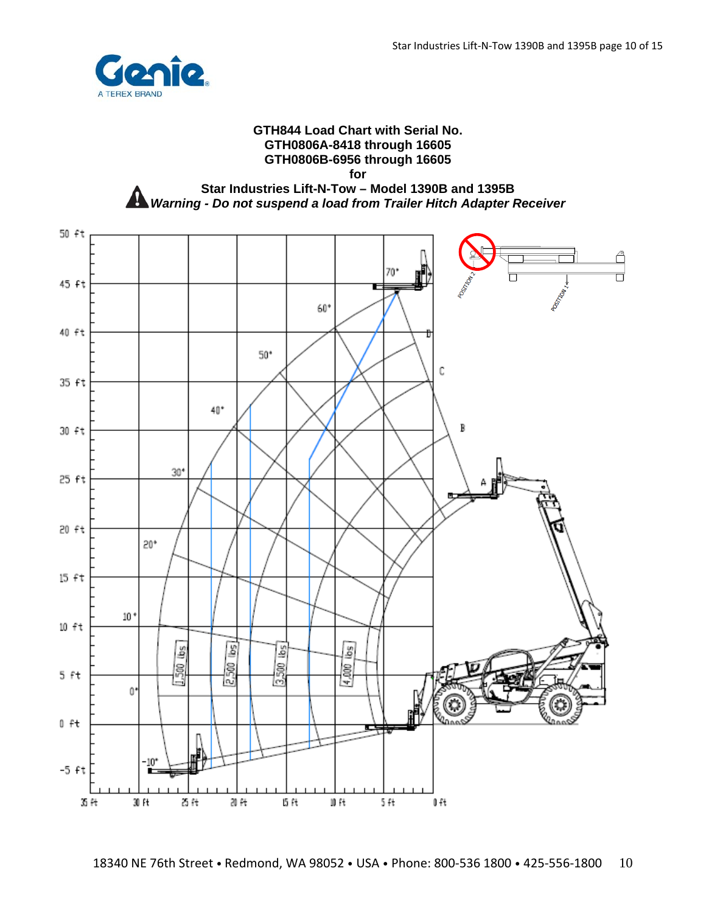

#### **GTH844 Load Chart with Serial No. GTH0806A-8418 through 16605 GTH0806B-6956 through 16605**

**for** 

**Star Industries Lift-N-Tow – Model 1390B and 1395B A** Warning - Do not suspend a load from Trailer Hitch Adapter Receiver

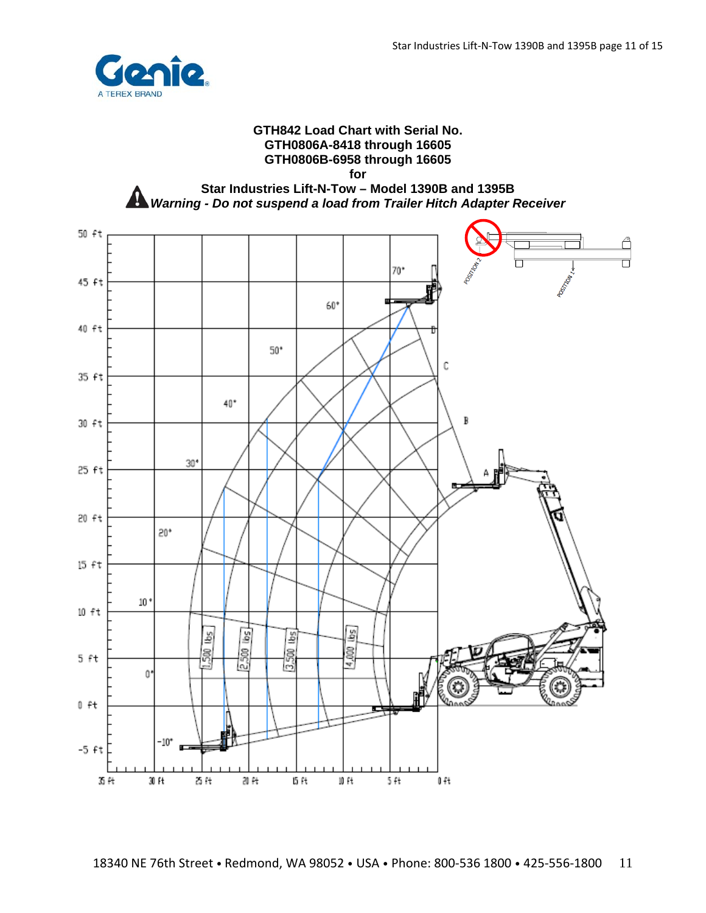

#### **GTH842 Load Chart with Serial No. GTH0806A-8418 through 16605 GTH0806B-6958 through 16605**

**for** 

**Star Industries Lift-N-Tow – Model 1390B and 1395B**  *Warning - Do not suspend a load from Trailer Hitch Adapter Receiver* 

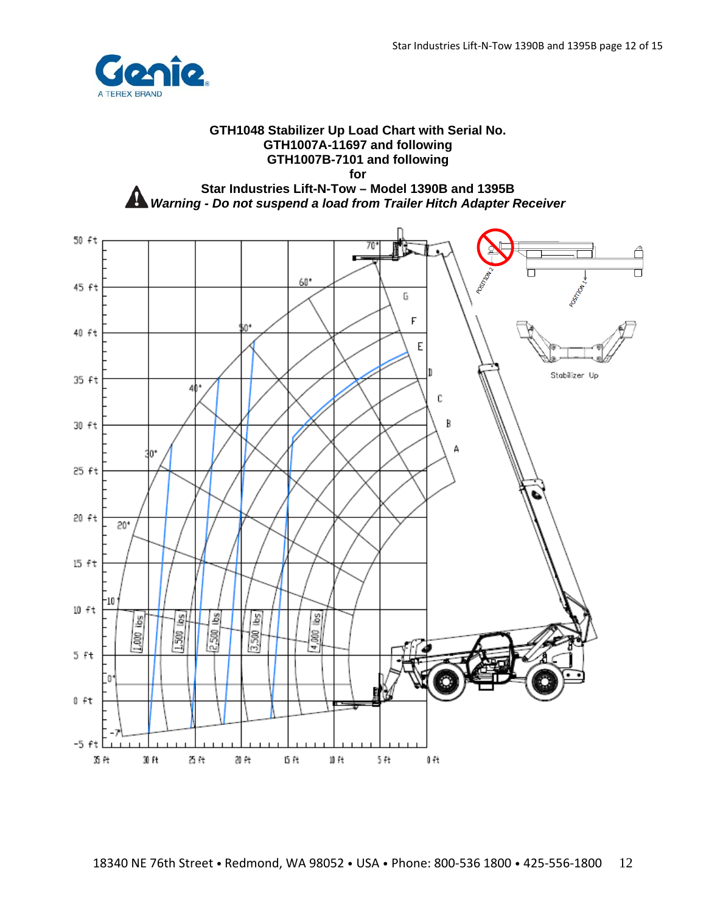

# **GTH1048 Stabilizer Up Load Chart with Serial No. GTH1007A-11697 and following GTH1007B-7101 and following for**

**Star Industries Lift-N-Tow – Model 1390B and 1395B A** Warning - Do not suspend a load from Trailer Hitch Adapter Receiver

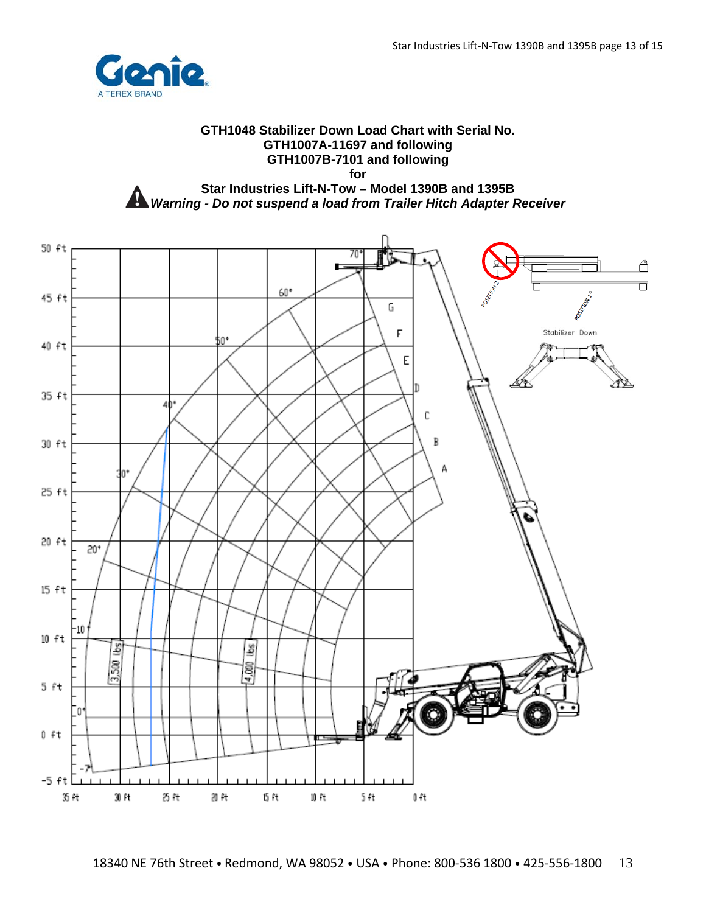

## **GTH1048 Stabilizer Down Load Chart with Serial No. GTH1007A-11697 and following GTH1007B-7101 and following for Star Industries Lift-N-Tow – Model 1390B and 1395B**

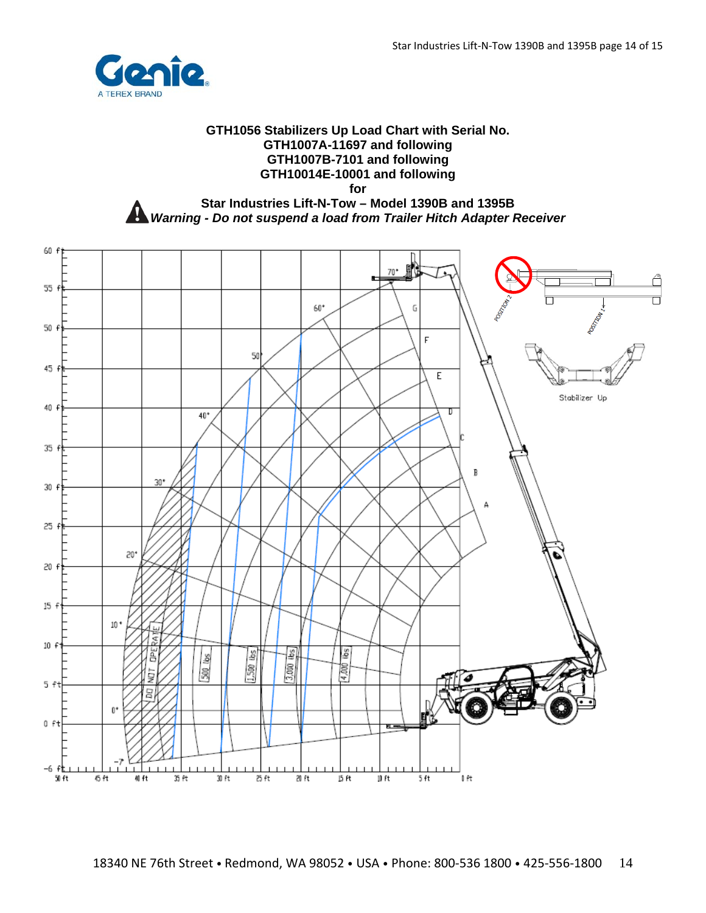

## **GTH1056 Stabilizers Up Load Chart with Serial No. GTH1007A-11697 and following GTH1007B-7101 and following GTH10014E-10001 and following for Star Industries Lift-N-Tow – Model 1390B and 1395B**